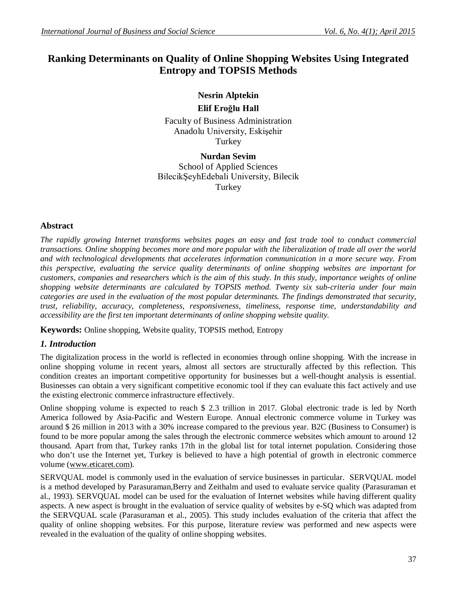# **Ranking Determinants on Quality of Online Shopping Websites Using Integrated Entropy and TOPSIS Methods**

# **Nesrin Alptekin**

## **Elif Eroğlu Hall**

Faculty of Business Administration Anadolu University, Eskişehir **Turkey** 

**Nurdan Sevim** School of Applied Sciences BilecikŞeyhEdebali University, Bilecik Turkey

# **Abstract**

*The rapidly growing Internet transforms websites pages an easy and fast trade tool to conduct commercial transactions. Online shopping becomes more and more popular with the liberalization of trade all over the world and with technological developments that accelerates information communication in a more secure way. From this perspective, evaluating the service quality determinants of online shopping websites are important for customers, companies and researchers which is the aim of this study. In this study, importance weights of online shopping website determinants are calculated by TOPSIS method. Twenty six sub-criteria under four main categories are used in the evaluation of the most popular determinants. The findings demonstrated that security, trust, reliability, accuracy, completeness, responsiveness, timeliness, response time, understandability and accessibility are the first ten important determinants of online shopping website quality.*

**Keywords:** Online shopping, Website quality, TOPSIS method, Entropy

# *1. Introduction*

The digitalization process in the world is reflected in economies through online shopping. With the increase in online shopping volume in recent years, almost all sectors are structurally affected by this reflection. This condition creates an important competitive opportunity for businesses but a well-thought analysis is essential. Businesses can obtain a very significant competitive economic tool if they can evaluate this fact actively and use the existing electronic commerce infrastructure effectively.

Online shopping volume is expected to reach \$ 2.3 trillion in 2017. Global electronic trade is led by North America followed by Asia-Pacific and Western Europe. Annual electronic commerce volume in Turkey was around \$ 26 million in 2013 with a 30% increase compared to the previous year. B2C (Business to Consumer) is found to be more popular among the sales through the electronic commerce websites which amount to around 12 thousand. Apart from that, Turkey ranks 17th in the global list for total internet population. Considering those who don't use the Internet yet, Turkey is believed to have a high potential of growth in electronic commerce volume (www.eticaret.com).

SERVQUAL model is commonly used in the evaluation of service businesses in particular. SERVQUAL model is a method developed by Parasuraman,Berry and Zeithalm and used to evaluate service quality (Parasuraman et al., 1993). SERVQUAL model can be used for the evaluation of Internet websites while having different quality aspects. A new aspect is brought in the evaluation of service quality of websites by e-SQ which was adapted from the SERVQUAL scale (Parasuraman et al., 2005). This study includes evaluation of the criteria that affect the quality of online shopping websites. For this purpose, literature review was performed and new aspects were revealed in the evaluation of the quality of online shopping websites.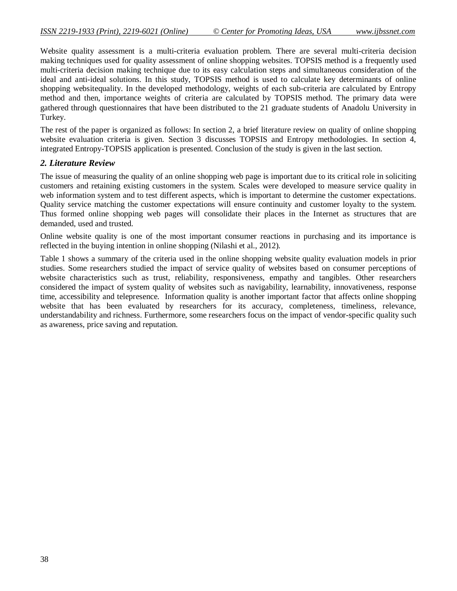Website quality assessment is a multi-criteria evaluation problem. There are several multi-criteria decision making techniques used for quality assessment of online shopping websites. TOPSIS method is a frequently used multi-criteria decision making technique due to its easy calculation steps and simultaneous consideration of the ideal and anti-ideal solutions. In this study, TOPSIS method is used to calculate key determinants of online shopping websitequality. In the developed methodology, weights of each sub-criteria are calculated by Entropy method and then, importance weights of criteria are calculated by TOPSIS method. The primary data were gathered through questionnaires that have been distributed to the 21 graduate students of Anadolu University in Turkey.

The rest of the paper is organized as follows: In section 2, a brief literature review on quality of online shopping website evaluation criteria is given. Section 3 discusses TOPSIS and Entropy methodologies. In section 4, integrated Entropy-TOPSIS application is presented. Conclusion of the study is given in the last section.

#### *2. Literature Review*

The issue of measuring the quality of an online shopping web page is important due to its critical role in soliciting customers and retaining existing customers in the system. Scales were developed to measure service quality in web information system and to test different aspects, which is important to determine the customer expectations. Quality service matching the customer expectations will ensure continuity and customer loyalty to the system. Thus formed online shopping web pages will consolidate their places in the Internet as structures that are demanded, used and trusted.

Online website quality is one of the most important consumer reactions in purchasing and its importance is reflected in the buying intention in online shopping (Nilashi et al., 2012).

Table 1 shows a summary of the criteria used in the online shopping website quality evaluation models in prior studies. Some researchers studied the impact of service quality of websites based on consumer perceptions of website characteristics such as trust, reliability, responsiveness, empathy and tangibles. Other researchers considered the impact of system quality of websites such as navigability, learnability, innovativeness, response time, accessibility and telepresence. Information quality is another important factor that affects online shopping website that has been evaluated by researchers for its accuracy, completeness, timeliness, relevance, understandability and richness. Furthermore, some researchers focus on the impact of vendor-specific quality such as awareness, price saving and reputation.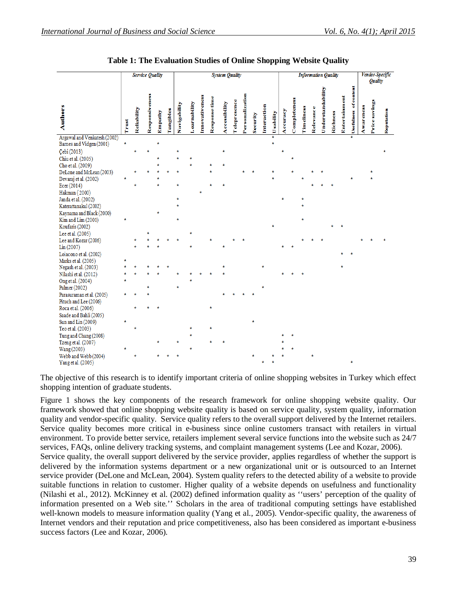|                                                          |       | <b>Service Quality</b> |                       |         |           |              |              |                       |               | <b>System Quality</b> |              |                 |          |             |           |          |              |             |           |                   | <b>Information Quality</b> |                      |                       |           |               | Vendor-Specific |
|----------------------------------------------------------|-------|------------------------|-----------------------|---------|-----------|--------------|--------------|-----------------------|---------------|-----------------------|--------------|-----------------|----------|-------------|-----------|----------|--------------|-------------|-----------|-------------------|----------------------------|----------------------|-----------------------|-----------|---------------|-----------------|
|                                                          |       |                        |                       |         |           |              |              |                       |               |                       |              |                 |          |             |           |          |              |             |           |                   |                            |                      |                       |           | Quality       |                 |
| <b>Authors</b>                                           | Trust | Reliability            | <b>Responsiveness</b> | Empathy | Tangibles | Navigability | Learnability | <b>Innovativeness</b> | Response time | Accessibility         | Telepresence | Personalization | Security | Interaction | Usability | Accuracy | Completeness | Tim eliness | Relevance | Understandability | Richness                   | <b>Entertainment</b> | Usefulness of content | Awareness | Price savings | Reputation      |
| Argawal and Venkatesh (2002)<br>Barnes and Vidgen (2001) | ÷     |                        |                       | ÷       |           |              |              |                       |               |                       |              |                 |          |             | ¥<br>÷    |          |              |             |           |                   |                            |                      |                       |           |               |                 |
| Çebi (2013)                                              |       | ÷                      |                       |         |           | $\star$      |              |                       |               | $\star$               |              |                 |          |             |           | $\star$  |              |             |           |                   |                            |                      |                       |           |               | ÷               |
| Chiu et al. (2005)                                       |       |                        |                       |         |           | ÷            |              |                       |               |                       |              |                 |          |             |           |          | ÷            |             |           |                   |                            |                      |                       |           |               |                 |
| Cho et al. (2009)                                        |       |                        |                       |         |           |              |              |                       |               |                       |              |                 |          |             |           |          |              |             |           |                   |                            |                      |                       |           |               |                 |
| DeLone and McLean (2003)                                 |       |                        |                       |         |           |              |              |                       |               |                       |              |                 |          |             |           |          |              |             |           |                   |                            |                      |                       |           |               |                 |
| Devaraj et al. (2002)                                    |       |                        |                       |         |           |              |              |                       |               |                       |              |                 |          |             |           |          |              |             |           |                   |                            |                      |                       |           |               |                 |
| Ecer (2014)                                              |       |                        |                       |         |           |              |              |                       |               |                       |              |                 |          |             |           |          |              |             |           |                   |                            |                      |                       |           |               |                 |
| Hakman (2000)                                            |       |                        |                       |         |           |              |              |                       |               |                       |              |                 |          |             |           |          |              |             |           |                   |                            |                      |                       |           |               |                 |
| Janda et al. (2002)                                      |       |                        |                       |         |           | ÷            |              |                       |               |                       |              |                 |          |             |           |          |              | ÷           |           |                   |                            |                      |                       |           |               |                 |
| Katerattanakul (2002)                                    |       |                        |                       |         |           | $\star$      |              |                       |               |                       |              |                 |          |             |           |          |              | ÷           |           |                   |                            |                      |                       |           |               |                 |
| Kaynama and Black (2000)                                 |       |                        |                       | ÷       |           |              |              |                       |               |                       |              |                 |          |             |           |          |              |             |           |                   |                            |                      |                       |           |               |                 |
| Kim and Lim (2001)                                       | ÷     |                        |                       |         |           | $\star$      |              |                       |               |                       |              |                 |          |             |           |          |              | ÷           |           |                   |                            |                      |                       |           |               |                 |
| Koufaris (2002)                                          |       |                        |                       |         |           |              |              |                       |               |                       |              |                 |          |             | ÷         |          |              |             |           |                   |                            |                      |                       |           |               |                 |
| Lee et al. (2005)                                        |       |                        |                       |         |           |              |              |                       |               |                       |              |                 |          |             |           |          |              |             |           |                   |                            |                      |                       |           |               |                 |
| Lee and Kozar (2006)                                     |       |                        |                       |         |           |              |              |                       |               |                       |              |                 |          |             |           |          |              |             |           |                   |                            |                      |                       |           |               |                 |
| Lin (2007)                                               |       |                        |                       |         |           |              |              |                       |               |                       |              |                 |          |             |           |          |              |             |           |                   |                            |                      |                       |           |               |                 |
| Loiacono et al. (2002)                                   |       |                        |                       |         |           |              |              |                       |               |                       |              |                 |          |             |           |          |              |             |           |                   |                            |                      |                       |           |               |                 |
| Marks et al. (2005)                                      | ÷     |                        |                       |         |           |              |              |                       |               |                       |              |                 |          |             |           |          |              |             |           |                   |                            |                      |                       |           |               |                 |
| Negash et al. (2003)                                     |       |                        |                       |         |           |              |              |                       |               |                       |              |                 |          | ÷           |           |          |              |             |           |                   |                            |                      |                       |           |               |                 |
| Nilashi et al. (2012)                                    | ÷     |                        |                       |         |           |              |              |                       |               |                       |              |                 |          |             |           |          |              |             |           |                   |                            |                      |                       |           |               |                 |
| Ong et al. (2004)                                        |       |                        |                       |         |           |              |              |                       |               |                       |              |                 |          |             |           |          |              |             |           |                   |                            |                      |                       |           |               |                 |
| Palmer (2002)                                            |       |                        |                       |         |           | $\star$      |              |                       |               |                       |              |                 |          | ÷           |           |          |              |             |           |                   |                            |                      |                       |           |               |                 |
| Parasuraman et al. (2005)                                |       |                        |                       |         |           |              |              |                       |               |                       |              |                 |          |             |           |          |              |             |           |                   |                            |                      |                       |           |               |                 |
| Pituch and Lee (2006)                                    |       |                        |                       |         |           |              |              |                       |               |                       |              |                 |          |             |           |          |              |             |           |                   |                            |                      |                       |           |               |                 |
| Roca et al. (2006)                                       |       |                        |                       |         |           |              |              |                       | ÷             |                       |              |                 |          |             |           |          |              |             |           |                   |                            |                      |                       |           |               |                 |
| Saade and Bahli (2005)                                   |       |                        |                       |         |           |              |              |                       |               |                       |              |                 |          |             |           |          |              |             |           |                   |                            |                      |                       |           |               |                 |
| Sun and Lin (2009)                                       | ÷     |                        |                       |         |           |              |              |                       |               |                       |              |                 | ÷        |             |           |          |              |             |           |                   |                            |                      |                       |           |               |                 |
| Teo et al. (2003)                                        |       | ÷                      |                       |         |           |              |              |                       |               |                       |              |                 |          |             |           |          |              |             |           |                   |                            |                      |                       |           |               |                 |
| Tung and Chang (2008)                                    |       |                        |                       |         |           |              |              |                       |               |                       |              |                 |          |             |           |          |              |             |           |                   |                            |                      |                       |           |               |                 |
| Tzeng et al. (2007)                                      |       |                        |                       |         |           |              |              |                       |               |                       |              |                 |          |             |           |          |              |             |           |                   |                            |                      |                       |           |               |                 |
| Wang (2003)                                              |       |                        |                       |         |           |              | ÷            |                       |               |                       |              |                 |          |             |           |          |              |             |           |                   |                            |                      |                       |           |               |                 |
| Webb and Webb (2004)<br>$V$ ang et al. $(2005)$          |       | ÷                      |                       |         |           | ÷            |              |                       |               |                       |              |                 | ÷        |             |           |          |              |             | ÷         |                   |                            |                      | ÷                     |           |               |                 |

**Table 1: The Evaluation Studies of Online Shopping Website Quality**

The objective of this research is to identify important criteria of online shopping websites in Turkey which effect shopping intention of graduate students.

Figure 1 shows the key components of the research framework for online shopping website quality. Our framework showed that online shopping website quality is based on service quality, system quality, information quality and vendor-specific quality. Service quality refers to the overall support delivered by the Internet retailers. Service quality becomes more critical in e-business since online customers transact with retailers in virtual environment. To provide better service, retailers implement several service functions into the website such as 24/7 services, FAQs, online delivery tracking systems, and complaint management systems (Lee and Kozar, 2006). Service quality, the overall support delivered by the service provider, applies regardless of whether the support is delivered by the information systems department or a new organizational unit or is outsourced to an Internet service provider (DeLone and McLean, 2004). System quality refers to the detected ability of a website to provide suitable functions in relation to customer. Higher quality of a website depends on usefulness and functionality (Nilashi et al., 2012). McKinney et al. (2002) defined information quality as ''users' perception of the quality of information presented on a Web site.'' Scholars in the area of traditional computing settings have established well-known models to measure information quality (Yang et al., 2005). Vendor-specific quality, the awareness of Internet vendors and their reputation and price competitiveness, also has been considered as important e-business success factors (Lee and Kozar, 2006).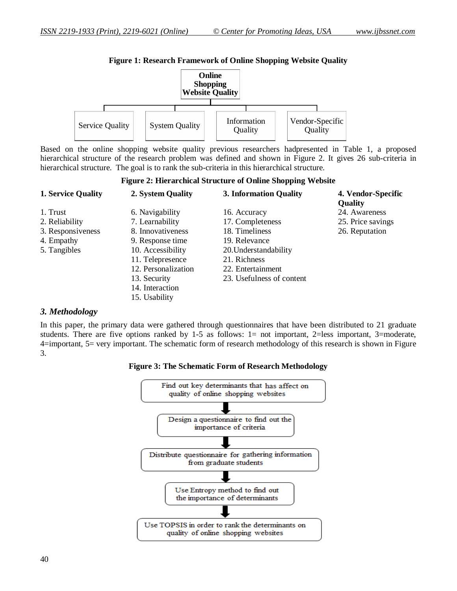

**Figure 1: Research Framework of Online Shopping Website Quality**

Based on the online shopping website quality previous researchers hadpresented in Table 1, a proposed hierarchical structure of the research problem was defined and shown in Figure 2. It gives 26 sub-criteria in hierarchical structure. The goal is to rank the sub-criteria in this hierarchical structure.

**Figure 2: Hierarchical Structure of Online Shopping Website**

| <b>1. Service Quality</b> | 2. System Quality   | 3. Information Quality    | 4. Vendor-Specific<br><b>Quality</b> |
|---------------------------|---------------------|---------------------------|--------------------------------------|
| 1. Trust                  | 6. Navigability     | 16. Accuracy              | 24. Awareness                        |
| 2. Reliability            | 7. Learnability     | 17. Completeness          | 25. Price savings                    |
| 3. Responsiveness         | 8. Innovativeness   | 18. Timeliness            | 26. Reputation                       |
| 4. Empathy                | 9. Response time    | 19. Relevance             |                                      |
| 5. Tangibles              | 10. Accessibility   | 20. Understandability     |                                      |
|                           | 11. Telepresence    | 21. Richness              |                                      |
|                           | 12. Personalization | 22. Entertainment         |                                      |
|                           | 13. Security        | 23. Usefulness of content |                                      |
|                           | 14. Interaction     |                           |                                      |
|                           | 15. Usability       |                           |                                      |

#### *3. Methodology*

In this paper, the primary data were gathered through questionnaires that have been distributed to 21 graduate students. There are five options ranked by 1-5 as follows: 1= not important, 2=less important, 3=moderate, 4=important, 5= very important. The schematic form of research methodology of this research is shown in Figure 3.

**Figure 3: The Schematic Form of Research Methodology**

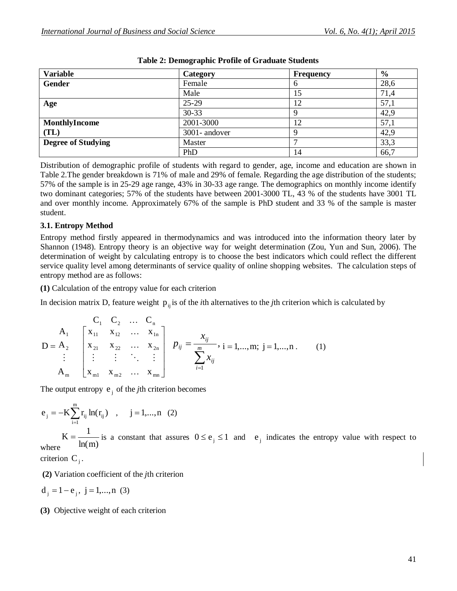| <b>Variable</b>           | <b>Category</b> | <b>Frequency</b> | $\frac{6}{9}$ |
|---------------------------|-----------------|------------------|---------------|
| Gender                    | Female          | h                | 28,6          |
|                           | Male            | .5               | 71,4          |
| Age                       | $25-29$         | 12               | 57,1          |
|                           | $30 - 33$       | ч                | 42,9          |
| MonthlyIncome             | 2001-3000       | 12               | 57,1          |
| (TL)                      | 3001-andover    | Q                | 42,9          |
| <b>Degree of Studying</b> | Master          |                  | 33,3          |
|                           | PhD             | 14               | 66,7          |

#### **Table 2: Demographic Profile of Graduate Students**

Distribution of demographic profile of students with regard to gender, age, income and education are shown in Table 2.The gender breakdown is 71% of male and 29% of female. Regarding the age distribution of the students; 57% of the sample is in 25-29 age range, 43% in 30-33 age range. The demographics on monthly income identify two dominant categories; 57% of the students have between 2001-3000 TL, 43 % of the students have 3001 TL and over monthly income. Approximately 67% of the sample is PhD student and 33 % of the sample is master student.

#### **3.1. Entropy Method**

Entropy method firstly appeared in thermodynamics and was introduced into the information theory later by Shannon (1948). Entropy theory is an objective way for weight determination (Zou, Yun and Sun, 2006). The determination of weight by calculating entropy is to choose the best indicators which could reflect the different service quality level among determinants of service quality of online shopping websites. The calculation steps of entropy method are as follows:

**(1)** Calculation of the entropy value for each criterion

In decision matrix D, feature weight  $p_{ij}$  is of the *i*th alternatives to the *j*th criterion which is calculated by

$$
D = A_{2} \begin{bmatrix} C_{1} & C_{2} & \dots & C_{n} \\ x_{11} & x_{12} & \dots & x_{1n} \\ x_{21} & x_{22} & \dots & x_{2n} \\ \vdots & \vdots & \ddots & \vdots \\ x_{m1} & x_{m2} & \dots & x_{mn} \end{bmatrix} p_{ij} = \frac{x_{ij}}{\sum_{i=1}^{m} x_{ij}}, i = 1,...,m; j = 1,...,n.
$$
 (1)

The output entropy  $e_j$  of the *j*th criterion becomes

$$
e_j = -K \sum_{i=1}^{m} r_{ij} ln(r_{ij})
$$
,  $j = 1,...,n$  (2)

where  $ln(m)$  $K = \frac{1}{\ln(m)}$  is a constant that assures  $0 \le e_j \le 1$  and  $e_j$  indicates the entropy value with respect to

criterion  $C_j$ .

**(2)** Variation coefficient of the *j*th criterion

$$
d_j = 1 - e_j
$$
,  $j = 1,...,n$  (3)

**(3)** Objective weight of each criterion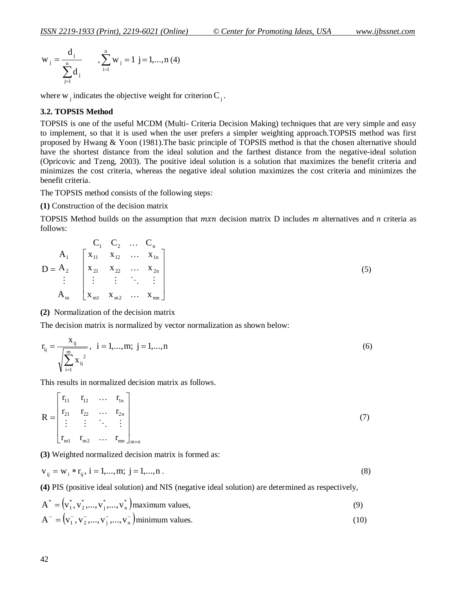$$
w_j = \frac{d_j}{\sum_{j=1}^n d_j}
$$
,  $\sum_{i=1}^n w_j = 1$  j = 1,..., n (4)

where  $w_j$  indicates the objective weight for criterion  $C_j$ .

#### **3.2. TOPSIS Method**

TOPSIS is one of the useful MCDM (Multi- Criteria Decision Making) techniques that are very simple and easy to implement, so that it is used when the user prefers a simpler weighting approach.TOPSIS method was first proposed by Hwang & Yoon (1981).The basic principle of TOPSIS method is that the chosen alternative should have the shortest distance from the ideal solution and the farthest distance from the negative-ideal solution (Opricovic and Tzeng, 2003). The positive ideal solution is a solution that maximizes the benefit criteria and minimizes the cost criteria, whereas the negative ideal solution maximizes the cost criteria and minimizes the benefit criteria.

The TOPSIS method consists of the following steps:

#### **(1)** Construction of the decision matrix

TOPSIS Method builds on the assumption that *mxn* decision matrix D includes *m* alternatives and *n* criteria as follows:

|                                                                          |                                                                                                                 | $C_1$ $C_2$ $C_n$ |  |
|--------------------------------------------------------------------------|-----------------------------------------------------------------------------------------------------------------|-------------------|--|
|                                                                          | $A_1$   $X_{11}$ $X_{12}$ $X_{1n}$                                                                              |                   |  |
| $D = A_2 \begin{vmatrix} x_{21} & x_{22} & \dots & x_{2n} \end{vmatrix}$ |                                                                                                                 |                   |  |
|                                                                          | $\frac{1}{2}$ $\frac{1}{2}$ $\frac{1}{2}$ $\frac{1}{2}$ $\frac{1}{2}$ $\frac{1}{2}$ $\frac{1}{2}$ $\frac{1}{2}$ |                   |  |
| $A_{m}$                                                                  | $\begin{vmatrix} X_{m1} & X_{m2} & \cdots & X_{mn} \end{vmatrix}$                                               |                   |  |

**(2)** Normalization of the decision matrix

The decision matrix is normalized by vector normalization as shown below:

$$
r_{ij} = \frac{x_{ij}}{\sqrt{\sum_{i=1}^{m} x_{ij}^{2}}}, \quad i = 1,...,m; \quad j = 1,...,n
$$
\n(6)

This results in normalized decision matrix as follows.

$$
R = \begin{bmatrix} r_{11} & r_{12} & \dots & r_{1n} \\ r_{21} & r_{22} & \dots & r_{2n} \\ \vdots & \vdots & \ddots & \vdots \\ r_{m1} & r_{m2} & \dots & r_{mn} \end{bmatrix}_{m \times n}
$$
 (7)

**(3)** Weighted normalized decision matrix is formed as:

$$
v_{ij} = w_i * r_{ij}, i = 1,...,m; j = 1,...,n.
$$
 (8)

**(4)** PIS (positive ideal solution) and NIS (negative ideal solution) are determined as respectively,

$$
A^* = (v_1^*, v_2^*, ..., v_j^*, ..., v_n^*)
$$
 maximum values, (9)

$$
A^{-} = (v_1^{-}, v_2^{-}, ..., v_j^{-}, ..., v_n^{-})
$$
minimum values. (10)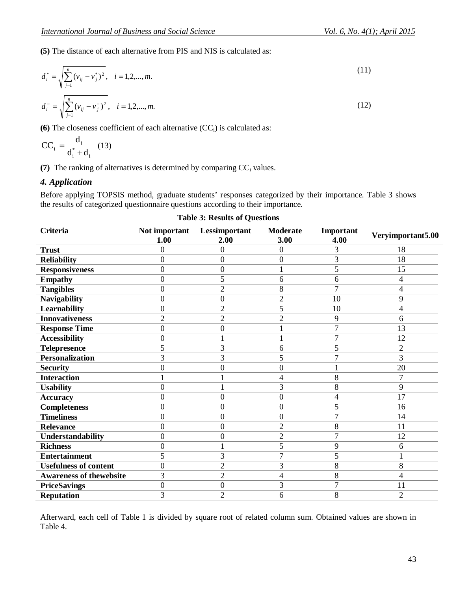**(5)** The distance of each alternative from PIS and NIS is calculated as:

$$
d_i^* = \sqrt{\sum_{j=1}^n (v_{ij} - v_j^*)^2}, \quad i = 1, 2, ..., m.
$$
\n
$$
d_i^- = \sqrt{\sum_{j=1}^n (v_{ij} - v_j^-)^2}, \quad i = 1, 2, ..., m.
$$
\n(12)

**(6)** The closeness coefficient of each alternative  $(CC<sub>i</sub>)$  is calculated as:

$$
CC_{i} = \frac{d_{i}^{-}}{d_{i}^{*} + d_{i}^{-}} (13)
$$

**(7)** The ranking of alternatives is determined by comparing CC<sup>i</sup> values.

#### *4. Application*

Before applying TOPSIS method, graduate students' responses categorized by their importance. Table 3 shows the results of categorized questionnaire questions according to their importance.

# **Table 3: Results of Questions**

| <b>Criteria</b>                | Not important<br>1.00 | Lessimportant<br>2.00 | <b>Moderate</b><br>3.00 | Important<br>4.00 | Veryimportant5.00 |
|--------------------------------|-----------------------|-----------------------|-------------------------|-------------------|-------------------|
| <b>Trust</b>                   | $\theta$              | $\boldsymbol{0}$      | $\theta$                | 3                 | 18                |
| <b>Reliability</b>             | $\theta$              | $\overline{0}$        | 0                       | 3                 | 18                |
| <b>Responsiveness</b>          | $\overline{0}$        | $\boldsymbol{0}$      |                         | 5                 | 15                |
| <b>Empathy</b>                 | $\theta$              | 5                     | 6                       | 6                 | 4                 |
| <b>Tangibles</b>               | $\theta$              | $\overline{2}$        | 8                       | $\overline{7}$    | 4                 |
| <b>Navigability</b>            | $\overline{0}$        | $\overline{0}$        | $\overline{2}$          | 10                | 9                 |
| Learnability                   | 0                     | $\overline{2}$        | 5                       | 10                | 4                 |
| <b>Innovativeness</b>          | $\overline{2}$        | $\overline{2}$        | $\overline{2}$          | 9                 | 6                 |
| <b>Response Time</b>           | $\overline{0}$        | $\boldsymbol{0}$      |                         | 7                 | 13                |
| <b>Accessibility</b>           | 0                     | 1                     |                         | 7                 | 12                |
| <b>Telepresence</b>            | 5                     | 3                     | 6                       | 5                 | $\overline{2}$    |
| <b>Personalization</b>         | 3                     | 3                     | 5                       | 7                 | $\overline{3}$    |
| <b>Security</b>                | 0                     | $\boldsymbol{0}$      | 0                       |                   | 20                |
| <b>Interaction</b>             |                       |                       | 4                       | 8                 | 7                 |
| <b>Usability</b>               | $\overline{0}$        | $\mathbf 1$           | 3                       | 8                 | 9                 |
| <b>Accuracy</b>                | 0                     | $\overline{0}$        | $\overline{0}$          | 4                 | 17                |
| <b>Completeness</b>            | $\overline{0}$        | $\overline{0}$        | $\overline{0}$          | 5                 | 16                |
| <b>Timeliness</b>              | $\overline{0}$        | $\overline{0}$        | $\overline{0}$          | $\overline{7}$    | 14                |
| <b>Relevance</b>               | $\overline{0}$        | $\overline{0}$        | $\overline{2}$          | 8                 | 11                |
| Understandability              | $\overline{0}$        | $\overline{0}$        | $\overline{2}$          | 7                 | 12                |
| <b>Richness</b>                | $\overline{0}$        | 1                     | 5                       | 9                 | 6                 |
| <b>Entertainment</b>           | 5                     | 3                     | $\overline{7}$          | 5                 |                   |
| <b>Usefulness of content</b>   | 0                     | $\overline{2}$        | 3                       | 8                 | 8                 |
| <b>Awareness of thewebsite</b> | 3                     | $\overline{2}$        | 4                       | 8                 | 4                 |
| <b>PriceSavings</b>            | 0                     | $\boldsymbol{0}$      | 3                       | 7                 | 11                |
| <b>Reputation</b>              | 3                     | $\overline{2}$        | 6                       | 8                 | $\overline{2}$    |

Afterward, each cell of Table 1 is divided by square root of related column sum. Obtained values are shown in Table 4.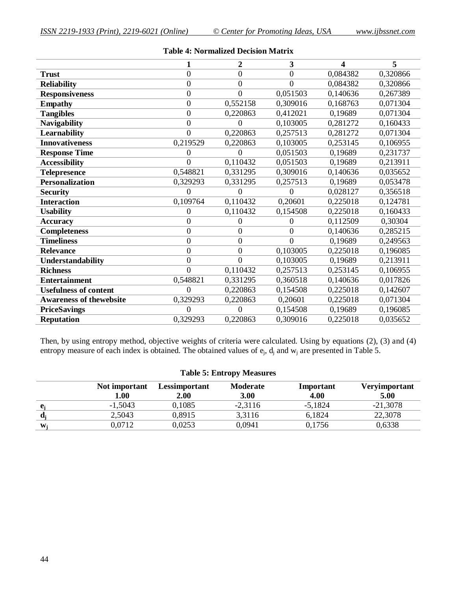|                                | 1              | 2                | 3              | 4        | 5        |
|--------------------------------|----------------|------------------|----------------|----------|----------|
| <b>Trust</b>                   | $\overline{0}$ | $\overline{0}$   | $\overline{0}$ | 0,084382 | 0,320866 |
| <b>Reliability</b>             | $\overline{0}$ | $\mathbf{0}$     | $\overline{0}$ | 0,084382 | 0,320866 |
| <b>Responsiveness</b>          | $\overline{0}$ | $\mathbf{0}$     | 0,051503       | 0,140636 | 0,267389 |
| <b>Empathy</b>                 | $\overline{0}$ | 0,552158         | 0,309016       | 0,168763 | 0,071304 |
| <b>Tangibles</b>               | $\overline{0}$ | 0,220863         | 0,412021       | 0,19689  | 0,071304 |
| <b>Navigability</b>            | $\overline{0}$ | 0                | 0,103005       | 0,281272 | 0,160433 |
| <b>Learnability</b>            | $\theta$       | 0,220863         | 0,257513       | 0,281272 | 0,071304 |
| <b>Innovativeness</b>          | 0,219529       | 0,220863         | 0,103005       | 0,253145 | 0,106955 |
| <b>Response Time</b>           | 0              | 0                | 0,051503       | 0,19689  | 0,231737 |
| <b>Accessibility</b>           | $\theta$       | 0,110432         | 0,051503       | 0,19689  | 0,213911 |
| <b>Telepresence</b>            | 0,548821       | 0,331295         | 0,309016       | 0,140636 | 0,035652 |
| <b>Personalization</b>         | 0,329293       | 0,331295         | 0,257513       | 0,19689  | 0,053478 |
| <b>Security</b>                | $\theta$       | 0                | 0              | 0,028127 | 0,356518 |
| <b>Interaction</b>             | 0,109764       | 0,110432         | 0,20601        | 0,225018 | 0,124781 |
| <b>Usability</b>               | $\theta$       | 0,110432         | 0,154508       | 0,225018 | 0,160433 |
| <b>Accuracy</b>                | $\theta$       | 0                | 0              | 0,112509 | 0,30304  |
| <b>Completeness</b>            | $\overline{0}$ | 0                | 0              | 0,140636 | 0,285215 |
| <b>Timeliness</b>              | $\overline{0}$ | $\overline{0}$   | $\theta$       | 0,19689  | 0,249563 |
| <b>Relevance</b>               | $\overline{0}$ | $\boldsymbol{0}$ | 0,103005       | 0,225018 | 0,196085 |
| Understandability              | $\overline{0}$ | $\theta$         | 0,103005       | 0,19689  | 0,213911 |
| <b>Richness</b>                | $\theta$       | 0,110432         | 0,257513       | 0,253145 | 0,106955 |
| <b>Entertainment</b>           | 0,548821       | 0,331295         | 0,360518       | 0,140636 | 0,017826 |
| <b>Usefulness of content</b>   | $\theta$       | 0,220863         | 0,154508       | 0,225018 | 0,142607 |
| <b>Awareness of thewebsite</b> | 0,329293       | 0,220863         | 0,20601        | 0,225018 | 0,071304 |
| <b>PriceSavings</b>            | $\theta$       | $\theta$         | 0,154508       | 0,19689  | 0,196085 |
| <b>Reputation</b>              | 0,329293       | 0,220863         | 0,309016       | 0,225018 | 0,035652 |

#### **Table 4: Normalized Decision Matrix**

Then, by using entropy method, objective weights of criteria were calculated. Using by equations (2), (3) and (4) entropy measure of each index is obtained. The obtained values of  $e_j$ ,  $d_j$  and  $w_j$  are presented in Table 5.

#### **Table 5: Entropy Measures**

|              | Not important<br>1.00 | Lessimportant<br>2.00 | <b>Moderate</b><br>3.00 | Important<br>4.00 | Veryimportant<br>5.00 |
|--------------|-----------------------|-----------------------|-------------------------|-------------------|-----------------------|
|              | $-1,5043$             | 0,1085                | $-2.3116$               | $-5,1824$         | $-21,3078$            |
|              | 2,5043                | 0,8915                | 3.3116                  | 6,1824            | 22,3078               |
| $\mathbf{W}$ | 0.0712                | 0,0253                | 0.0941                  | 0,1756            | 0,6338                |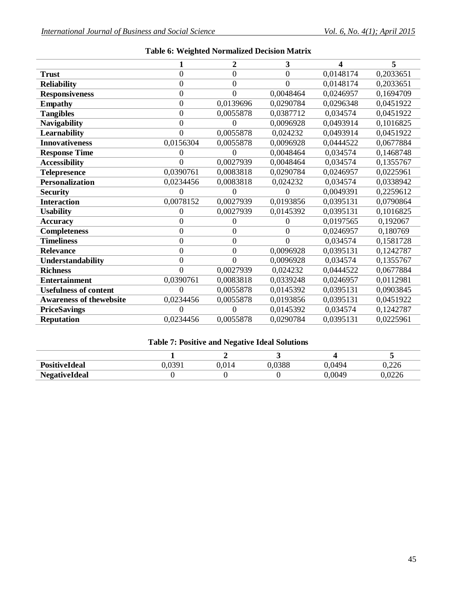|                                |                  | $\overline{2}$   | 3         | 4         | 5         |
|--------------------------------|------------------|------------------|-----------|-----------|-----------|
| <b>Trust</b>                   | $\mathbf{0}$     | $\boldsymbol{0}$ | $\theta$  | 0,0148174 | 0,2033651 |
| <b>Reliability</b>             | $\overline{0}$   | $\overline{0}$   | $\theta$  | 0,0148174 | 0,2033651 |
| <b>Responsiveness</b>          | $\overline{0}$   | $\overline{0}$   | 0,0048464 | 0,0246957 | 0,1694709 |
| <b>Empathy</b>                 | $\boldsymbol{0}$ | 0,0139696        | 0,0290784 | 0,0296348 | 0,0451922 |
| <b>Tangibles</b>               | $\overline{0}$   | 0,0055878        | 0,0387712 | 0,034574  | 0,0451922 |
| <b>Navigability</b>            | $\mathbf{0}$     | 0                | 0,0096928 | 0,0493914 | 0,1016825 |
| <b>Learnability</b>            | $\overline{0}$   | 0,0055878        | 0,024232  | 0,0493914 | 0,0451922 |
| <b>Innovativeness</b>          | 0,0156304        | 0,0055878        | 0,0096928 | 0,0444522 | 0,0677884 |
| <b>Response Time</b>           | 0                | $\theta$         | 0,0048464 | 0,034574  | 0,1468748 |
| <b>Accessibility</b>           | $\overline{0}$   | 0,0027939        | 0,0048464 | 0,034574  | 0,1355767 |
| <b>Telepresence</b>            | 0,0390761        | 0,0083818        | 0,0290784 | 0,0246957 | 0,0225961 |
| <b>Personalization</b>         | 0,0234456        | 0,0083818        | 0,024232  | 0,034574  | 0,0338942 |
| <b>Security</b>                | 0                | $\theta$         | $\Omega$  | 0,0049391 | 0,2259612 |
| <b>Interaction</b>             | 0,0078152        | 0,0027939        | 0,0193856 | 0,0395131 | 0,0790864 |
| <b>Usability</b>               | 0                | 0,0027939        | 0,0145392 | 0,0395131 | 0,1016825 |
| <b>Accuracy</b>                | $\boldsymbol{0}$ | 0                | $\Omega$  | 0,0197565 | 0,192067  |
| <b>Completeness</b>            | $\overline{0}$   | $\overline{0}$   | $\theta$  | 0,0246957 | 0,180769  |
| <b>Timeliness</b>              | $\overline{0}$   | $\overline{0}$   | $\theta$  | 0,034574  | 0,1581728 |
| <b>Relevance</b>               | $\mathbf{0}$     | $\overline{0}$   | 0,0096928 | 0,0395131 | 0,1242787 |
| Understandability              | 0                | $\theta$         | 0,0096928 | 0,034574  | 0,1355767 |
| <b>Richness</b>                | $\overline{0}$   | 0,0027939        | 0,024232  | 0,0444522 | 0,0677884 |
| <b>Entertainment</b>           | 0,0390761        | 0,0083818        | 0,0339248 | 0,0246957 | 0,0112981 |
| <b>Usefulness of content</b>   | 0                | 0,0055878        | 0,0145392 | 0,0395131 | 0,0903845 |
| <b>Awareness of thewebsite</b> | 0,0234456        | 0,0055878        | 0,0193856 | 0,0395131 | 0,0451922 |
| <b>PriceSavings</b>            | 0                | $\overline{0}$   | 0,0145392 | 0,034574  | 0,1242787 |
| <b>Reputation</b>              | 0,0234456        | 0,0055878        | 0,0290784 | 0,0395131 | 0,0225961 |

# **Table 6: Weighted Normalized Decision Matrix**

# **Table 7: Positive and Negative Ideal Solutions**

| <b>PositiveIdeal</b> | 0391 | 0.014 | .0388 | .0494 | 0,226 |
|----------------------|------|-------|-------|-------|-------|
| <b>NegativeIdeal</b> |      |       |       | 0049  | ,0226 |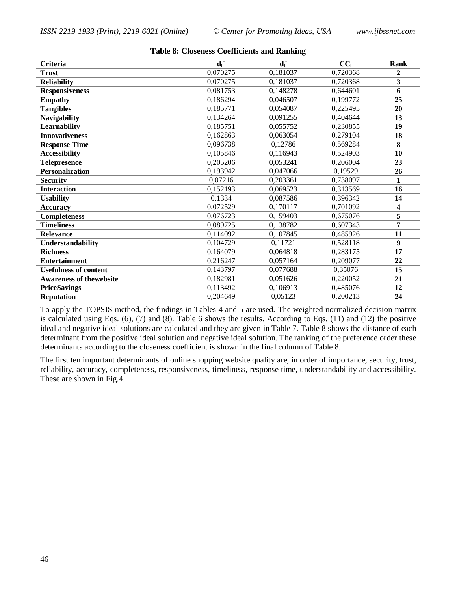| Criteria                       | $\overline{\mathbf{d_i}^+}$ | $\mathbf{d}_i$ | $CC_i$   | Rank           |
|--------------------------------|-----------------------------|----------------|----------|----------------|
| <b>Trust</b>                   | 0,070275                    | 0,181037       | 0,720368 | $\overline{2}$ |
| <b>Reliability</b>             | 0,070275                    | 0,181037       | 0,720368 | 3              |
| <b>Responsiveness</b>          | 0,081753                    | 0,148278       | 0,644601 | 6              |
| <b>Empathy</b>                 | 0,186294                    | 0,046507       | 0,199772 | 25             |
| <b>Tangibles</b>               | 0,185771                    | 0,054087       | 0,225495 | 20             |
| <b>Navigability</b>            | 0,134264                    | 0,091255       | 0,404644 | 13             |
| <b>Learnability</b>            | 0,185751                    | 0,055752       | 0,230855 | 19             |
| <b>Innovativeness</b>          | 0,162863                    | 0,063054       | 0,279104 | 18             |
| <b>Response Time</b>           | 0,096738                    | 0,12786        | 0,569284 | 8              |
| <b>Accessibility</b>           | 0,105846                    | 0,116943       | 0,524903 | 10             |
| <b>Telepresence</b>            | 0,205206                    | 0,053241       | 0,206004 | 23             |
| <b>Personalization</b>         | 0,193942                    | 0,047066       | 0,19529  | 26             |
| <b>Security</b>                | 0,07216                     | 0,203361       | 0,738097 | 1              |
| <b>Interaction</b>             | 0,152193                    | 0,069523       | 0,313569 | 16             |
| <b>Usability</b>               | 0,1334                      | 0,087586       | 0,396342 | 14             |
| <b>Accuracy</b>                | 0,072529                    | 0,170117       | 0,701092 | 4              |
| <b>Completeness</b>            | 0,076723                    | 0,159403       | 0,675076 | 5              |
| <b>Timeliness</b>              | 0,089725                    | 0,138782       | 0,607343 | 7              |
| <b>Relevance</b>               | 0,114092                    | 0.107845       | 0,485926 | 11             |
| Understandability              | 0,104729                    | 0,11721        | 0,528118 | 9              |
| <b>Richness</b>                | 0,164079                    | 0,064818       | 0,283175 | 17             |
| <b>Entertainment</b>           | 0,216247                    | 0,057164       | 0,209077 | 22             |
| <b>Usefulness of content</b>   | 0,143797                    | 0,077688       | 0,35076  | 15             |
| <b>Awareness of thewebsite</b> | 0,182981                    | 0,051626       | 0,220052 | 21             |
| <b>PriceSavings</b>            | 0,113492                    | 0,106913       | 0,485076 | 12             |
| <b>Reputation</b>              | 0,204649                    | 0,05123        | 0,200213 | 24             |

#### **Table 8: Closeness Coefficients and Ranking**

To apply the TOPSIS method, the findings in Tables 4 and 5 are used. The weighted normalized decision matrix is calculated using Eqs. (6), (7) and (8). Table 6 shows the results. According to Eqs. (11) and (12) the positive ideal and negative ideal solutions are calculated and they are given in Table 7. Table 8 shows the distance of each determinant from the positive ideal solution and negative ideal solution. The ranking of the preference order these determinants according to the closeness coefficient is shown in the final column of Table 8.

The first ten important determinants of online shopping website quality are, in order of importance, security, trust, reliability, accuracy, completeness, responsiveness, timeliness, response time, understandability and accessibility. These are shown in Fig.4.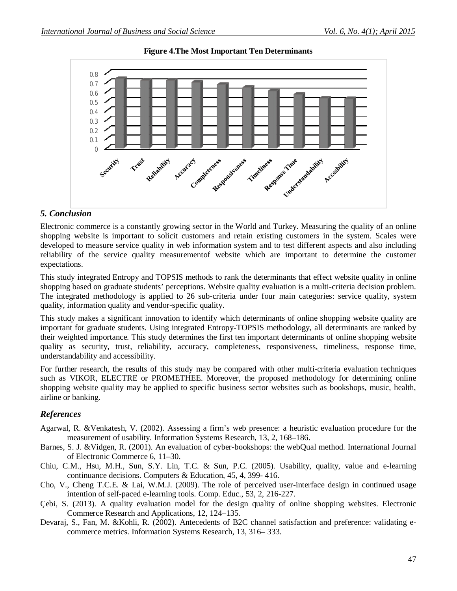

#### **Figure 4.The Most Important Ten Determinants**

### *5. Conclusion*

Electronic commerce is a constantly growing sector in the World and Turkey. Measuring the quality of an online shopping website is important to solicit customers and retain existing customers in the system. Scales were developed to measure service quality in web information system and to test different aspects and also including reliability of the service quality measurementof website which are important to determine the customer expectations.

This study integrated Entropy and TOPSIS methods to rank the determinants that effect website quality in online shopping based on graduate students' perceptions. Website quality evaluation is a multi-criteria decision problem. The integrated methodology is applied to 26 sub-criteria under four main categories: service quality, system quality, information quality and vendor-specific quality.

This study makes a significant innovation to identify which determinants of online shopping website quality are important for graduate students. Using integrated Entropy-TOPSIS methodology, all determinants are ranked by their weighted importance. This study determines the first ten important determinants of online shopping website quality as security, trust, reliability, accuracy, completeness, responsiveness, timeliness, response time, understandability and accessibility.

For further research, the results of this study may be compared with other multi-criteria evaluation techniques such as VIKOR, ELECTRE or PROMETHEE. Moreover, the proposed methodology for determining online shopping website quality may be applied to specific business sector websites such as bookshops, music, health, airline or banking.

# *References*

- Agarwal, R. &Venkatesh, V. (2002). Assessing a firm's web presence: a heuristic evaluation procedure for the measurement of usability. Information Systems Research, 13, 2, 168–186.
- Barnes, S. J. &Vidgen, R. (2001). An evaluation of cyber-bookshops: the webQual method. International Journal of Electronic Commerce 6, 11–30.
- Chiu, C.M., Hsu, M.H., Sun, S.Y. Lin, T.C. & Sun, P.C. (2005). Usability, quality, value and e-learning continuance decisions. Computers & Education, 45, 4, 399- 416.
- Cho, V., Cheng T.C.E. & Lai, W.M.J. (2009). The role of perceived user-interface design in continued usage intention of self-paced e-learning tools. Comp. Educ., 53, 2, 216-227.
- Çebi, S. (2013). A quality evaluation model for the design quality of online shopping websites. Electronic Commerce Research and Applications, 12, 124–135.
- Devaraj, S., Fan, M. &Kohli, R. (2002). Antecedents of B2C channel satisfaction and preference: validating ecommerce metrics. Information Systems Research, 13, 316– 333.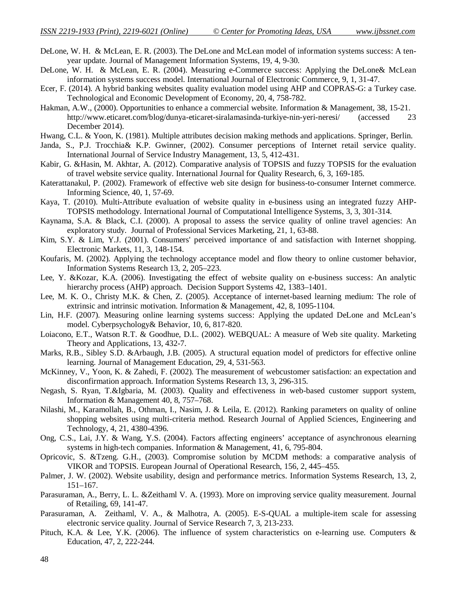- DeLone, W. H. & McLean, E. R. (2003). The DeLone and McLean model of information systems success: A tenyear update. Journal of Management Information Systems, 19, 4, 9-30.
- DeLone, W. H. & McLean, E. R. (2004). Measuring e-Commerce success: Applying the DeLone& McLean information systems success model. International Journal of Electronic Commerce, 9, 1, 31-47.
- Ecer, F. (2014). A hybrid banking websites quality evaluation model using AHP and COPRAS-G: a Turkey case. Technological and Economic Development of Economy, 20, 4, 758-782.
- Hakman, A.W., (2000). Opportunities to enhance a commercial website. Information & Management, 38, 15-21. http://www.eticaret.com/blog/dunya-eticaret-siralamasinda-turkiye-nin-yeri-neresi/ (accessed 23 December 2014).
- Hwang, C.L. & Yoon, K. (1981). Multiple attributes decision making methods and applications. Springer, Berlin.
- Janda, S., P.J. Trocchia& K.P. Gwinner, (2002). Consumer perceptions of Internet retail service quality. International Journal of Service Industry Management, 13, 5, 412-431.
- Kabir, G. &Hasin, M. Akhtar, A. (2012). Comparative analysis of TOPSIS and fuzzy TOPSIS for the evaluation of travel website service quality. International Journal for Quality Research, 6, 3, 169-185.
- Katerattanakul, P. (2002). Framework of effective web site design for business-to-consumer Internet commerce. Informing Science, 40, 1, 57-69.
- Kaya, T. (2010). Multi-Attribute evaluation of website quality in e-business using an integrated fuzzy AHP-TOPSIS methodology. International Journal of Computational Intelligence Systems, 3, 3, 301-314.
- Kaynama, S.A. & Black, C.I. (2000). A proposal to assess the service quality of online travel agencies: An exploratory study. Journal of Professional Services Marketing, 21, 1, 63-88.
- Kim, S.Y. & Lim, Y.J. (2001). Consumers' perceived importance of and satisfaction with Internet shopping. Electronic Markets, 11, 3, 148-154.
- Koufaris, M. (2002). Applying the technology acceptance model and flow theory to online customer behavior, Information Systems Research 13, 2, 205–223.
- Lee, Y. &Kozar, K.A. (2006). Investigating the effect of website quality on e-business success: An analytic hierarchy process (AHP) approach. Decision Support Systems 42, 1383–1401.
- Lee, M. K. O., Christy M.K. & Chen, Z. (2005). Acceptance of internet-based learning medium: The role of extrinsic and intrinsic motivation. Information & Management, 42, 8, 1095-1104.
- Lin, H.F. (2007). Measuring online learning systems success: Applying the updated DeLone and McLean's model. Cyberpsychology& Behavior, 10, 6, 817-820.
- Loiacono, E.T., Watson R.T. & Goodhue, D.L. (2002). WEBQUAL: A measure of Web site quality. Marketing Theory and Applications, 13, 432-7.
- Marks, R.B., Sibley S.D. &Arbaugh, J.B. (2005). A structural equation model of predictors for effective online learning. Journal of Management Education, 29, 4, 531-563.
- McKinney, V., Yoon, K. & Zahedi, F. (2002). The measurement of webcustomer satisfaction: an expectation and disconfirmation approach. Information Systems Research 13, 3, 296-315.
- Negash, S. Ryan, T.&Igbaria, M. (2003). Quality and effectiveness in web-based customer support system, Information & Management 40, 8, 757–768.
- Nilashi, M., Karamollah, B., Othman, I., Nasim, J. & Leila, E. (2012). Ranking parameters on quality of online shopping websites using multi-criteria method. Research Journal of Applied Sciences, Engineering and Technology, 4, 21, 4380-4396.
- Ong, C.S., Lai, J.Y. & Wang, Y.S. (2004). Factors affecting engineers' acceptance of asynchronous elearning systems in high-tech companies. Information & Management, 41, 6, 795-804.
- Opricovic, S. &Tzeng. G.H., (2003). Compromise solution by MCDM methods: a comparative analysis of VIKOR and TOPSIS. European Journal of Operational Research, 156, 2, 445–455.
- Palmer, J. W. (2002). Website usability, design and performance metrics. Information Systems Research, 13, 2, 151–167.
- Parasuraman, A., Berry, L. L. &Zeithaml V. A. (1993). More on improving service quality measurement. Journal of Retailing, 69, 141-47.
- Parasuraman, A. Zeithaml, V. A., & Malhotra, A. (2005). E-S-QUAL a multiple-item scale for assessing electronic service quality. Journal of Service Research 7, 3, 213-233.
- Pituch, K.A. & Lee, Y.K. (2006). The influence of system characteristics on e-learning use. Computers & Education, 47, 2, 222-244.